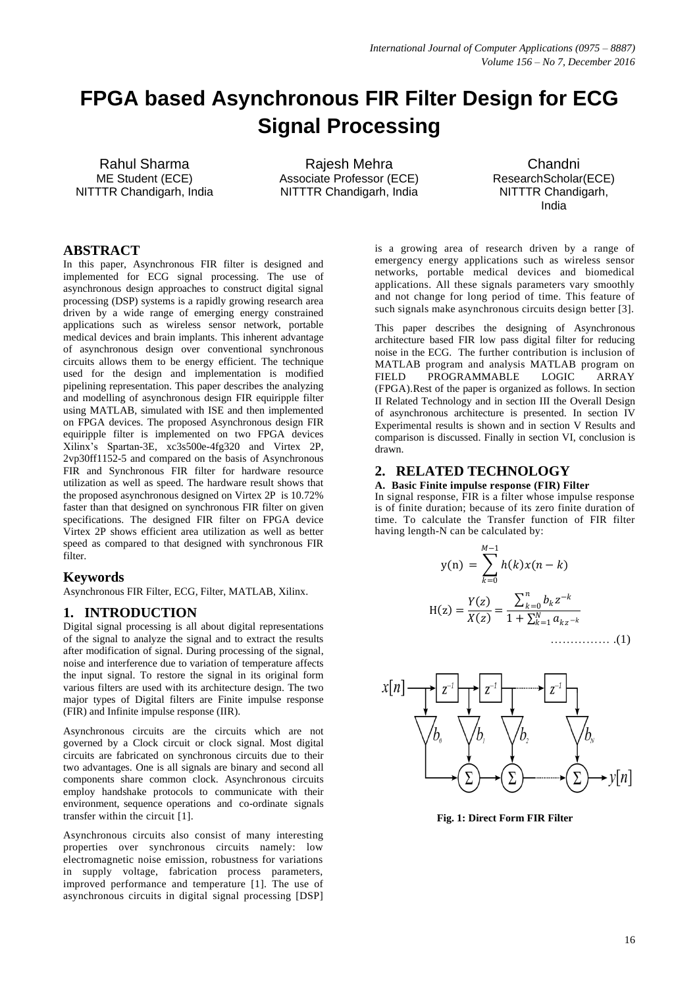# **FPGA based Asynchronous FIR Filter Design for ECG Signal Processing**

Rahul Sharma ME Student (ECE) NITTTR Chandigarh, India

Rajesh Mehra Associate Professor (ECE) NITTTR Chandigarh, India

Chandni ResearchScholar(ECE) NITTTR Chandigarh, India

# **ABSTRACT**

In this paper, Asynchronous FIR filter is designed and implemented for ECG signal processing. The use of asynchronous design approaches to construct digital signal processing (DSP) systems is a rapidly growing research area driven by a wide range of emerging energy constrained applications such as wireless sensor network, portable medical devices and brain implants. This inherent advantage of asynchronous design over conventional synchronous circuits allows them to be energy efficient. The technique used for the design and implementation is modified pipelining representation. This paper describes the analyzing and modelling of asynchronous design FIR equiripple filter using MATLAB, simulated with ISE and then implemented on FPGA devices. The proposed Asynchronous design FIR equiripple filter is implemented on two FPGA devices Xilinx's Spartan-3E, xc3s500e-4fg320 and Virtex 2P, 2vp30ff1152-5 and compared on the basis of Asynchronous FIR and Synchronous FIR filter for hardware resource utilization as well as speed. The hardware result shows that the proposed asynchronous designed on Virtex 2P is 10.72% faster than that designed on synchronous FIR filter on given specifications. The designed FIR filter on FPGA device Virtex 2P shows efficient area utilization as well as better speed as compared to that designed with synchronous FIR filter.

#### **Keywords**

Asynchronous FIR Filter, ECG, Filter, MATLAB, Xilinx.

#### **1. INTRODUCTION**

Digital signal processing is all about digital representations of the signal to analyze the signal and to extract the results after modification of signal. During processing of the signal, noise and interference due to variation of temperature affects the input signal. To restore the signal in its original form various filters are used with its architecture design. The two major types of Digital filters are Finite impulse response (FIR) and Infinite impulse response (IIR).

Asynchronous circuits are the circuits which are not governed by a Clock circuit or clock signal. Most digital circuits are fabricated on synchronous circuits due to their two advantages. One is all signals are binary and second all components share common clock. Asynchronous circuits employ handshake protocols to communicate with their environment, sequence operations and co-ordinate signals transfer within the circuit [1].

Asynchronous circuits also consist of many interesting properties over synchronous circuits namely: low electromagnetic noise emission, robustness for variations in supply voltage, fabrication process parameters, improved performance and temperature [1]. The use of asynchronous circuits in digital signal processing [DSP]

is a growing area of research driven by a range of emergency energy applications such as wireless sensor networks, portable medical devices and biomedical applications. All these signals parameters vary smoothly and not change for long period of time. This feature of such signals make asynchronous circuits design better [3].

This paper describes the designing of Asynchronous architecture based FIR low pass digital filter for reducing noise in the ECG. The further contribution is inclusion of MATLAB program and analysis MATLAB program on FIELD PROGRAMMABLE LOGIC ARRAY (FPGA).Rest of the paper is organized as follows. In section II Related Technology and in section III the Overall Design of asynchronous architecture is presented. In section IV Experimental results is shown and in section V Results and comparison is discussed. Finally in section VI, conclusion is drawn.

# **2. RELATED TECHNOLOGY**

## **A. Basic Finite impulse response (FIR) Filter**

In signal response, FIR is a filter whose impulse response is of finite duration; because of its zero finite duration of time. To calculate the Transfer function of FIR filter having length-N can be calculated by:

$$
y(n) = \sum_{k=0}^{M-1} h(k)x(n-k)
$$

$$
H(z) = \frac{Y(z)}{X(z)} = \frac{\sum_{k=0}^{n} b_k z^{-k}}{1 + \sum_{k=1}^{N} a_{kz-k}}
$$
(1)



**Fig. 1: Direct Form FIR Filter**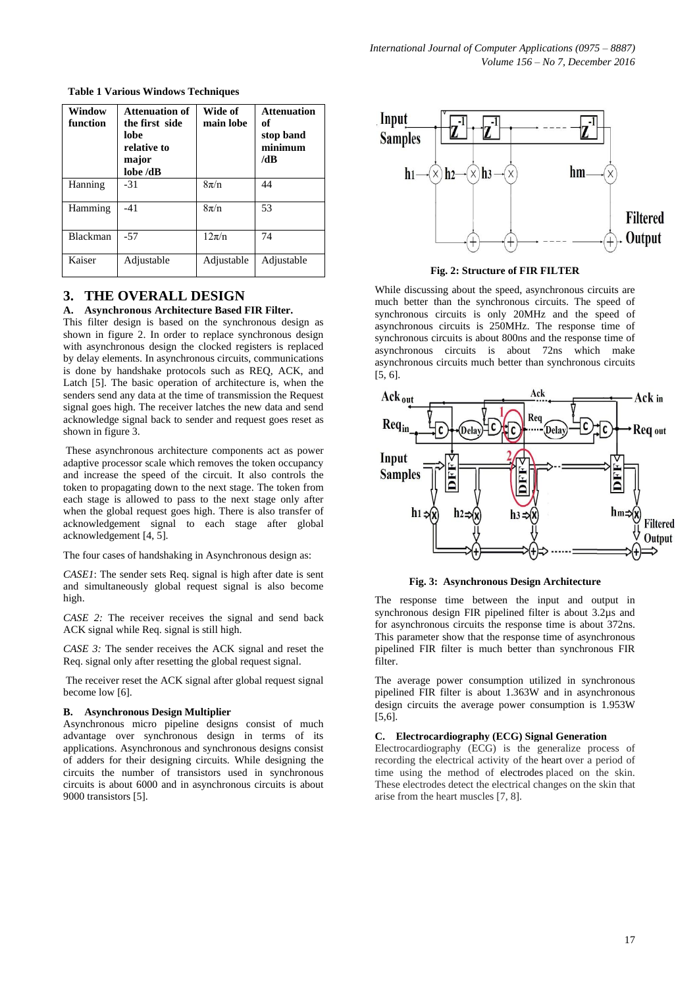| Window<br>function | <b>Attenuation of</b><br>the first side<br>lobe<br>relative to<br>major<br>lobe /dB | Wide of<br>main lobe | <b>Attenuation</b><br>of<br>stop band<br>minimum<br>/dB |
|--------------------|-------------------------------------------------------------------------------------|----------------------|---------------------------------------------------------|
| Hanning            | $-31$                                                                               | $8\pi/n$             | 44                                                      |
| Hamming            | $-41$                                                                               | $8\pi/n$             | 53                                                      |
| Blackman           | $-57$                                                                               | $12\pi/n$            | 74                                                      |
| Kaiser             | Adjustable                                                                          | Adjustable           | Adjustable                                              |

**Table 1 Various Windows Techniques**

# **3. THE OVERALL DESIGN**

## **A. Asynchronous Architecture Based FIR Filter.**

This filter design is based on the synchronous design as shown in figure 2. In order to replace synchronous design with asynchronous design the clocked registers is replaced by delay elements. In asynchronous circuits, communications is done by handshake protocols such as REQ, ACK, and Latch [5]. The basic operation of architecture is, when the senders send any data at the time of transmission the Request signal goes high. The receiver latches the new data and send acknowledge signal back to sender and request goes reset as shown in figure 3.

These asynchronous architecture components act as power adaptive processor scale which removes the token occupancy and increase the speed of the circuit. It also controls the token to propagating down to the next stage. The token from each stage is allowed to pass to the next stage only after when the global request goes high. There is also transfer of acknowledgement signal to each stage after global acknowledgement [4, 5].

The four cases of handshaking in Asynchronous design as:

*CASE1*: The sender sets Req. signal is high after date is sent and simultaneously global request signal is also become high.

*CASE 2:* The receiver receives the signal and send back ACK signal while Req. signal is still high.

*CASE 3:* The sender receives the ACK signal and reset the Req. signal only after resetting the global request signal.

The receiver reset the ACK signal after global request signal become low [6].

#### **B. Asynchronous Design Multiplier**

Asynchronous micro pipeline designs consist of much advantage over synchronous design in terms of its applications. Asynchronous and synchronous designs consist of adders for their designing circuits. While designing the circuits the number of transistors used in synchronous circuits is about 6000 and in asynchronous circuits is about 9000 transistors [5].



**Fig. 2: Structure of FIR FILTER**

While discussing about the speed, asynchronous circuits are much better than the synchronous circuits. The speed of synchronous circuits is only 20MHz and the speed of asynchronous circuits is 250MHz. The response time of synchronous circuits is about 800ns and the response time of asynchronous circuits is about 72ns which make asynchronous circuits much better than synchronous circuits [5, 6].



**Fig. 3: Asynchronous Design Architecture**

The response time between the input and output in synchronous design FIR pipelined filter is about 3.2µs and for asynchronous circuits the response time is about 372ns. This parameter show that the response time of asynchronous pipelined FIR filter is much better than synchronous FIR filter.

The average power consumption utilized in synchronous pipelined FIR filter is about 1.363W and in asynchronous design circuits the average power consumption is 1.953W [5,6].

#### **C. Electrocardiography (ECG) Signal Generation**

Electrocardiography (ECG) is the generalize process of recording the electrical activity of the heart over a period of time using the method of electrodes placed on the skin. These electrodes detect the electrical changes on the skin that arise from the heart muscles [7, 8].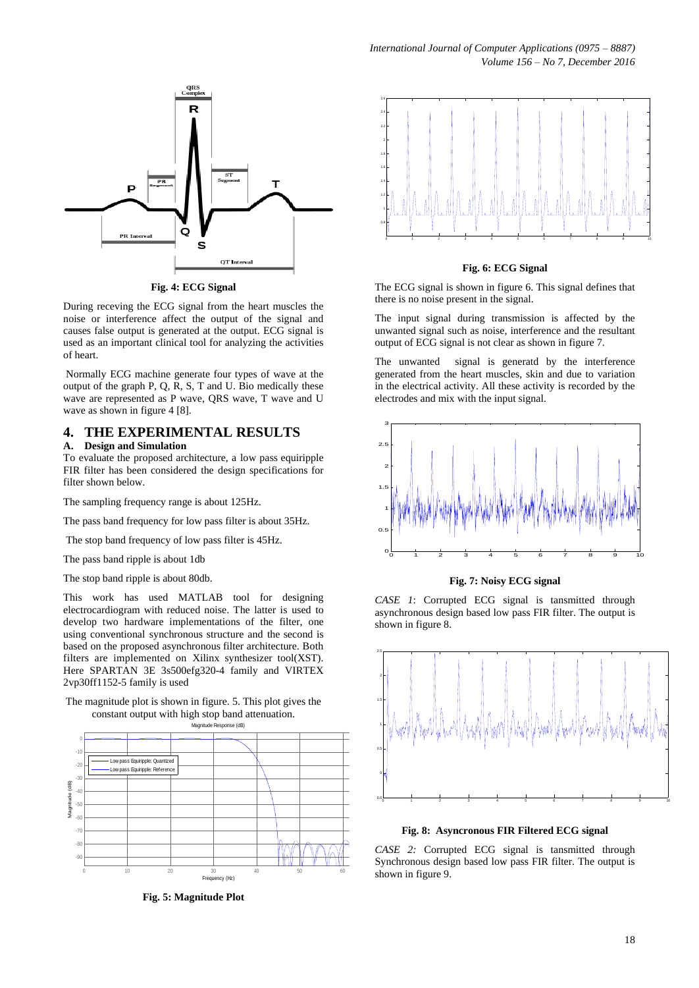

**Fig. 4: ECG Signal**

During receving the ECG signal from the heart muscles the noise or interference affect the output of the signal and causes false output is generated at the output. ECG signal is used as an important clinical tool for analyzing the activities of heart.

Normally ECG machine generate four types of wave at the output of the graph P, Q, R, S, T and U. Bio medically these wave are represented as P wave, QRS wave, T wave and U wave as shown in figure 4 [8].

#### **4. THE EXPERIMENTAL RESULTS A. Design and Simulation**

To evaluate the proposed architecture, a low pass equiripple FIR filter has been considered the design specifications for

filter shown below.

The sampling frequency range is about 125Hz.

The pass band frequency for low pass filter is about 35Hz.

The stop band frequency of low pass filter is 45Hz.

The pass band ripple is about 1db

The stop band ripple is about 80db.

This work has used MATLAB tool for designing electrocardiogram with reduced noise. The latter is used to develop two hardware implementations of the filter, one using conventional synchronous structure and the second is based on the proposed asynchronous filter architecture. Both filters are implemented on Xilinx synthesizer tool(XST). Here SPARTAN 3E 3s500efg320-4 family and VIRTEX 2vp30ff1152-5 family is used

The magnitude plot is shown in figure. 5. This plot gives the constant output with high stop band attenuation.



**Fig. 5: Magnitude Plot**



**Fig. 6: ECG Signal**

The ECG signal is shown in figure 6. This signal defines that there is no noise present in the signal.

The input signal during transmission is affected by the unwanted signal such as noise, interference and the resultant output of ECG signal is not clear as shown in figure 7.

The unwanted signal is generatd by the interference generated from the heart muscles, skin and due to variation in the electrical activity. All these activity is recorded by the electrodes and mix with the input signal.



**Fig. 7: Noisy ECG signal**

*CASE 1*: Corrupted ECG signal is tansmitted through asynchronous design based low pass FIR filter. The output is shown in figure 8.



**Fig. 8: Asyncronous FIR Filtered ECG signal**

*CASE 2:* Corrupted ECG signal is tansmitted through Synchronous design based low pass FIR filter. The output is shown in figure 9.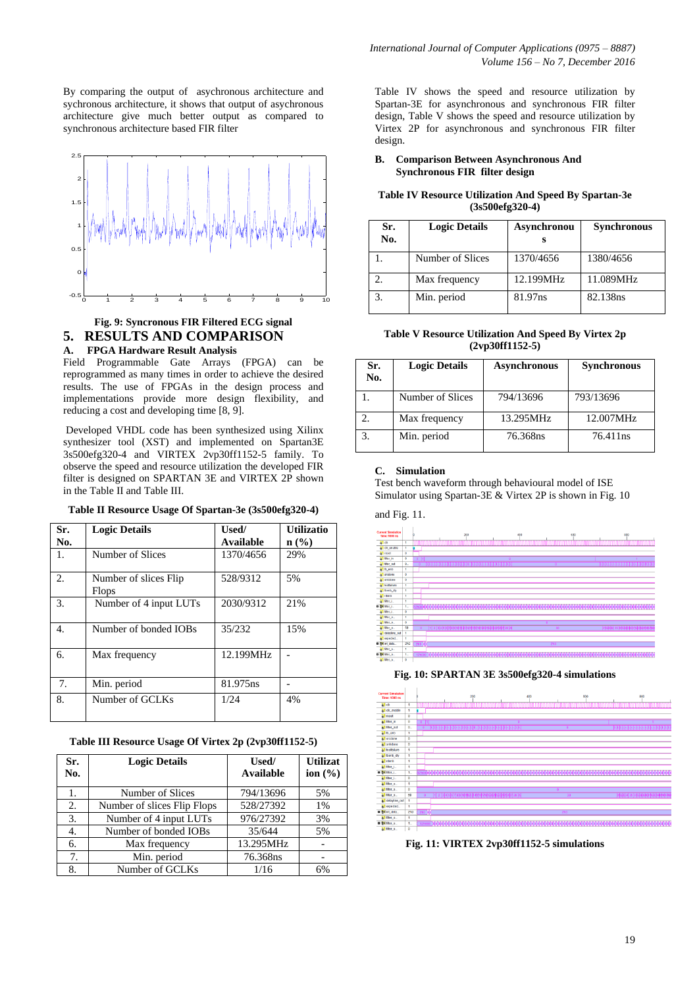By comparing the output of asychronous architecture and sychronous architecture, it shows that output of asychronous architecture give much better output as compared to synchronous architecture based FIR filter



## **Fig. 9: Syncronous FIR Filtered ECG signal 5. RESULTS AND COMPARISON A. FPGA Hardware Result Analysis**

Field Programmable Gate Arrays (FPGA) can be reprogrammed as many times in order to achieve the desired results. The use of FPGAs in the design process and implementations provide more design flexibility, and reducing a cost and developing time [8, 9].

Developed VHDL code has been synthesized using Xilinx synthesizer tool (XST) and implemented on Spartan3E 3s500efg320-4 and VIRTEX 2vp30ff1152-5 family. To observe the speed and resource utilization the developed FIR filter is designed on SPARTAN 3E and VIRTEX 2P shown in the Table II and Table III.

| Sr.              | <b>Logic Details</b>                  | Used/            | <b>Utilizatio</b>           |
|------------------|---------------------------------------|------------------|-----------------------------|
| No.              |                                       | <b>Available</b> | $n\left(\frac{9}{6}\right)$ |
| 1.               | Number of Slices                      | 1370/4656        | 29%                         |
| 2.               | Number of slices Flip<br><b>Flops</b> | 528/9312         | 5%                          |
| 3.               | Number of 4 input LUTs                | 2030/9312        | 21%                         |
| $\overline{4}$ . | Number of bonded IOBs                 | 35/232           | 15%                         |
| 6.               | Max frequency                         | 12.199MHz        |                             |
| 7.               | Min. period                           | 81.975ns         |                             |
| 8.               | Number of GCLKs                       | 1/24             | 4%                          |

#### **Table II Resource Usage Of Spartan-3e (3s500efg320-4)**

## **Table III Resource Usage Of Virtex 2p (2vp30ff1152-5)**

| Sr.<br>No. | <b>Logic Details</b>        | Used/<br>Available | <b>Utilizat</b><br>ion $(\% )$ |
|------------|-----------------------------|--------------------|--------------------------------|
|            | Number of Slices            | 794/13696          | 5%                             |
| 2.         | Number of slices Flip Flops | 528/27392          | 1%                             |
| 3.         | Number of 4 input LUTs      | 976/27392          | 3%                             |
| 4.         | Number of bonded IOBs       | 35/644             | 5%                             |
| 6.         | Max frequency               | 13.295MHz          |                                |
| 7.         | Min. period                 | 76.368ns           |                                |
| 8.         | Number of GCLKs             | 1/16               | 6%                             |

Table IV shows the speed and resource utilization by Spartan-3E for asynchronous and synchronous FIR filter design, Table V shows the speed and resource utilization by Virtex 2P for asynchronous and synchronous FIR filter design.

#### **B. Comparison Between Asynchronous And Synchronous FIR filter design**

#### **Table IV Resource Utilization And Speed By Spartan-3e (3s500efg320-4)**

| Sr.<br>No. | <b>Logic Details</b> | Asynchronou | <b>Synchronous</b> |
|------------|----------------------|-------------|--------------------|
|            | Number of Slices     | 1370/4656   | 1380/4656          |
|            | Max frequency        | 12.199MHz   | 11.089MHz          |
| 3.         | Min. period          | 81.97ns     | 82.138ns           |

**Table V Resource Utilization And Speed By Virtex 2p (2vp30ff1152-5)**

| Sr.<br>No. | <b>Logic Details</b> | <b>Asynchronous</b> | <b>Synchronous</b>   |
|------------|----------------------|---------------------|----------------------|
|            | Number of Slices     | 794/13696           | 793/13696            |
| 2.         | Max frequency        | 13.295MHz           | 12.007MHz            |
| 3.         | Min. period          | 76.368ns            | 76.411 <sub>ns</sub> |

#### **C. Simulation**

Test bench waveform through behavioural model of ISE Simulator using Spartan-3E & Virtex 2P is shown in Fig. 10

#### and Fig. 11.



#### **Fig. 10: SPARTAN 3E 3s500efg320-4 simulations**



**Fig. 11: VIRTEX 2vp30ff1152-5 simulations**